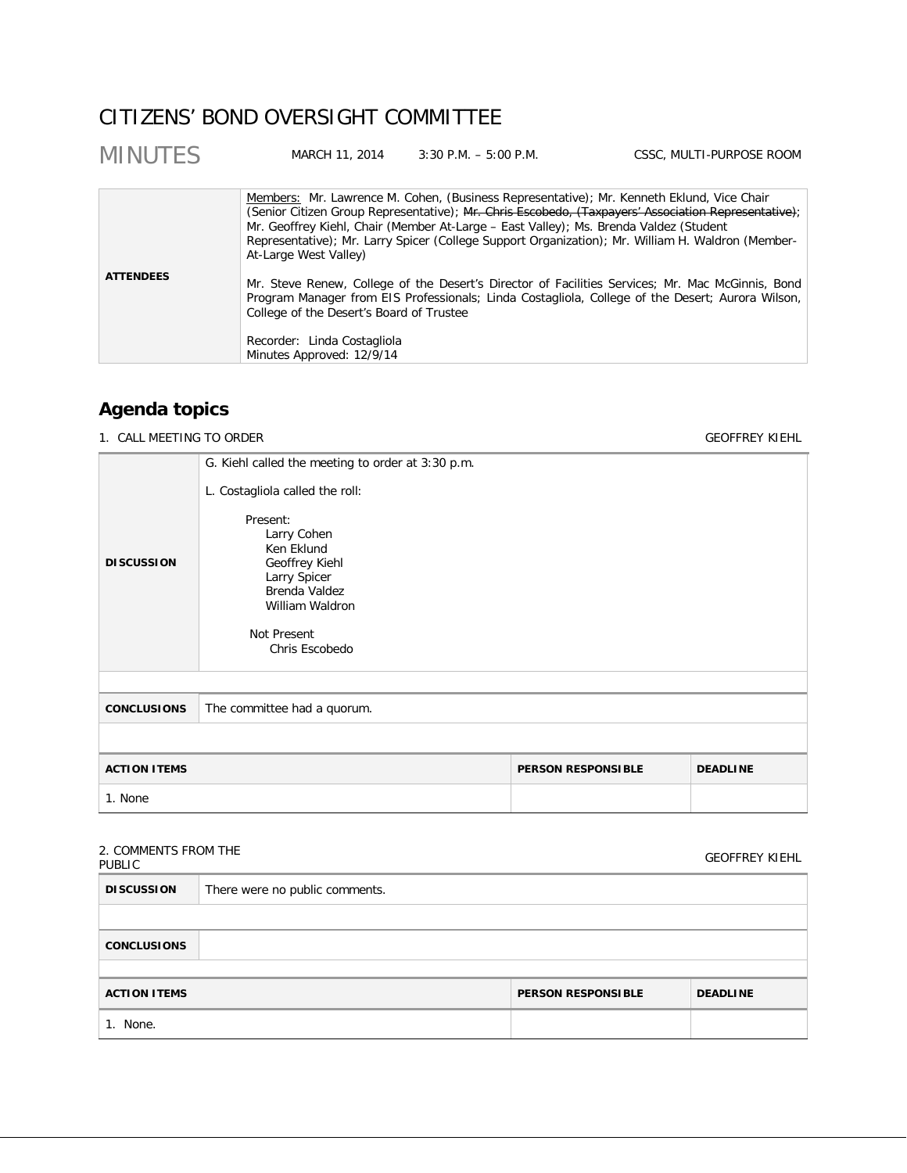# CITIZENS' BOND OVERSIGHT COMMITTEE

| <b>MINUTES</b>   | MARCH 11, 2014                                                                                                                                                                                                                                                                                                                                                                                                          | $3:30$ P.M. $-5:00$ P.M. | CSSC, MULTI-PURPOSE ROOM                                                                                                                                                                             |
|------------------|-------------------------------------------------------------------------------------------------------------------------------------------------------------------------------------------------------------------------------------------------------------------------------------------------------------------------------------------------------------------------------------------------------------------------|--------------------------|------------------------------------------------------------------------------------------------------------------------------------------------------------------------------------------------------|
|                  | Members: Mr. Lawrence M. Cohen, (Business Representative); Mr. Kenneth Eklund, Vice Chair<br>(Senior Citizen Group Representative); Mr. Chris Escobedo, (Taxpayers' Association Representative);<br>Mr. Geoffrey Kiehl, Chair (Member At-Large - East Valley); Ms. Brenda Valdez (Student<br>Representative); Mr. Larry Spicer (College Support Organization); Mr. William H. Waldron (Member-<br>At-Large West Valley) |                          |                                                                                                                                                                                                      |
| <b>ATTENDEES</b> | College of the Desert's Board of Trustee<br>Recorder: Linda Costagliola<br>Minutes Approved: 12/9/14                                                                                                                                                                                                                                                                                                                    |                          | Mr. Steve Renew, College of the Desert's Director of Facilities Services; Mr. Mac McGinnis, Bond<br>Program Manager from EIS Professionals; Linda Costagliola, College of the Desert; Aurora Wilson, |

# **Agenda topics**

1. CALL MEETING TO ORDER GEOFFREY KIEHL

|                     | G. Kiehl called the meeting to order at 3:30 p.m.                                                                                                                               |                           |                 |
|---------------------|---------------------------------------------------------------------------------------------------------------------------------------------------------------------------------|---------------------------|-----------------|
| <b>DISCUSSION</b>   | L. Costagliola called the roll:<br>Present:<br>Larry Cohen<br>Ken Eklund<br>Geoffrey Kiehl<br>Larry Spicer<br>Brenda Valdez<br>William Waldron<br>Not Present<br>Chris Escobedo |                           |                 |
|                     |                                                                                                                                                                                 |                           |                 |
| <b>CONCLUSIONS</b>  | The committee had a quorum.                                                                                                                                                     |                           |                 |
|                     |                                                                                                                                                                                 |                           |                 |
| <b>ACTION ITEMS</b> |                                                                                                                                                                                 | <b>PERSON RESPONSIBLE</b> | <b>DEADLINE</b> |
| 1. None             |                                                                                                                                                                                 |                           |                 |
|                     |                                                                                                                                                                                 |                           |                 |

## 2. COMMENTS FROM THE

| 2. CONTRILIVED FROM THE<br><b>PUBLIC</b> |                                |                           | <b>GEOFFREY KIEHL</b> |
|------------------------------------------|--------------------------------|---------------------------|-----------------------|
| <b>DISCUSSION</b>                        | There were no public comments. |                           |                       |
|                                          |                                |                           |                       |
| <b>CONCLUSIONS</b>                       |                                |                           |                       |
|                                          |                                |                           |                       |
| <b>ACTION ITEMS</b>                      |                                | <b>PERSON RESPONSIBLE</b> | <b>DEADLINE</b>       |
| 1. None.                                 |                                |                           |                       |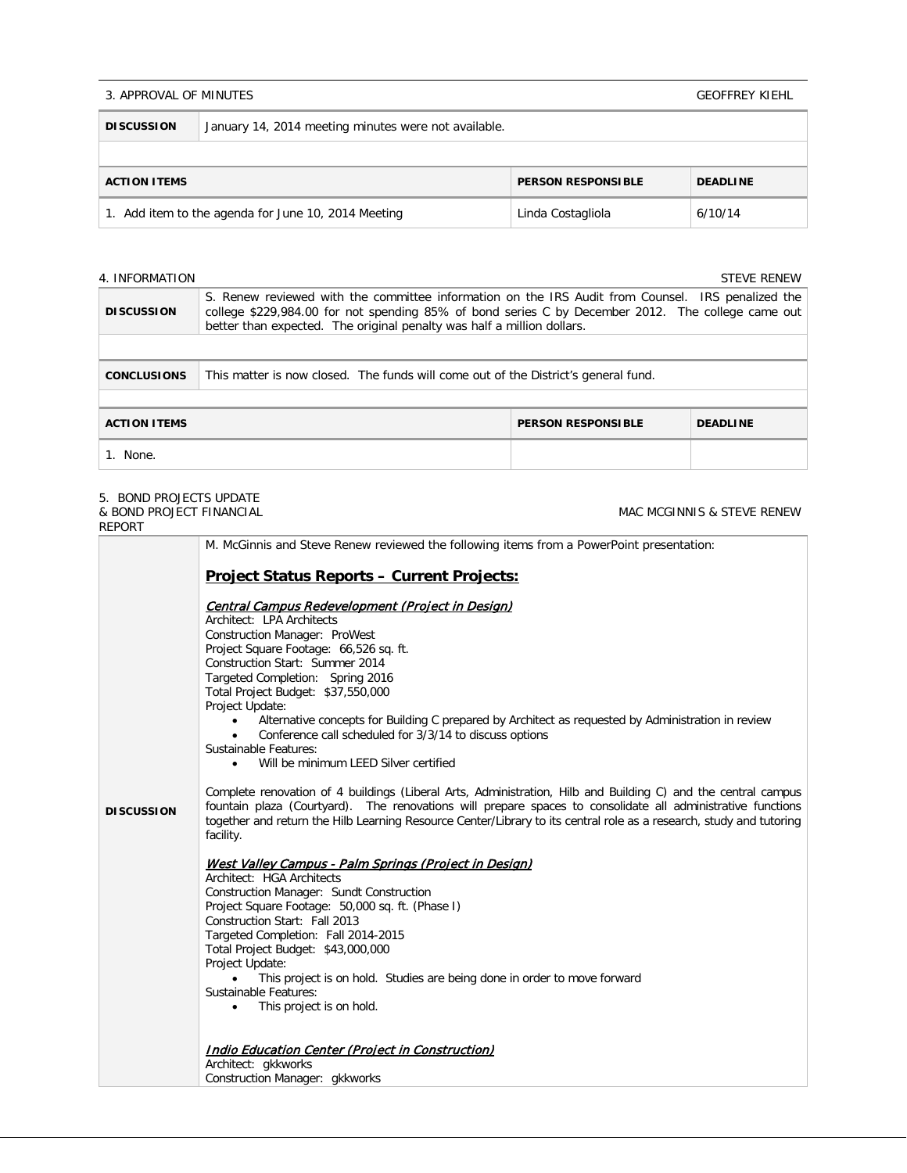#### 3. APPROVAL OF MINUTES

|  | <b>GEOFFREY KIEHL</b> |
|--|-----------------------|
|  |                       |

| <b>DISCUSSION</b>                                                                   | January 14, 2014 meeting minutes were not available. |  |  |
|-------------------------------------------------------------------------------------|------------------------------------------------------|--|--|
|                                                                                     |                                                      |  |  |
| <b>PERSON RESPONSIBLE</b><br><b>DEADLINE</b><br><b>ACTION ITEMS</b>                 |                                                      |  |  |
| 1. Add item to the agenda for June 10, 2014 Meeting<br>Linda Costagliola<br>6/10/14 |                                                      |  |  |

#### 4. INFORMATION STEVE RENEW STEVE RENEW STEVE RENEW STEVE RENEW STEVE RENEW STEVE RENEW STEVE RENEW STEVE RENEW

| <b>DISCUSSION</b>   | S. Renew reviewed with the committee information on the IRS Audit from Counsel. IRS penalized the<br>college \$229,984.00 for not spending 85% of bond series C by December 2012. The college came out<br>better than expected. The original penalty was half a million dollars. |                           |                 |
|---------------------|----------------------------------------------------------------------------------------------------------------------------------------------------------------------------------------------------------------------------------------------------------------------------------|---------------------------|-----------------|
|                     |                                                                                                                                                                                                                                                                                  |                           |                 |
| <b>CONCLUSIONS</b>  | This matter is now closed. The funds will come out of the District's general fund.                                                                                                                                                                                               |                           |                 |
|                     |                                                                                                                                                                                                                                                                                  |                           |                 |
| <b>ACTION ITEMS</b> |                                                                                                                                                                                                                                                                                  | <b>PERSON RESPONSIBLE</b> | <b>DEADLINE</b> |
| 1. None.            |                                                                                                                                                                                                                                                                                  |                           |                 |

#### 5. BOND PROJECTS UPDATE & BOND PROJECT FINANCIAL

REPORT MAC MCGINNIS & STEVE RENEW **DISCUSSION** M. McGinnis and Steve Renew reviewed the following items from a PowerPoint presentation: **Project Status Reports – Current Projects:** Central Campus Redevelopment (Project in Design) Architect: LPA Architects Construction Manager: ProWest Project Square Footage: 66,526 sq. ft. Construction Start: Summer 2014 Targeted Completion: Spring 2016 Total Project Budget: \$37,550,000 Project Update: • Alternative concepts for Building C prepared by Architect as requested by Administration in review • Conference call scheduled for 3/3/14 to discuss options Sustainable Features: Will be minimum LEED Silver certified Complete renovation of 4 buildings (Liberal Arts, Administration, Hilb and Building C) and the central campus fountain plaza (Courtyard). The renovations will prepare spaces to consolidate all administrative functions together and return the Hilb Learning Resource Center/Library to its central role as a research, study and tutoring facility. West Valley Campus - Palm Springs (Project in Design) Architect: HGA Architects Construction Manager: Sundt Construction Project Square Footage: 50,000 sq. ft. (Phase I) Construction Start: Fall 2013 Targeted Completion: Fall 2014-2015 Total Project Budget: \$43,000,000 Project Update: • This project is on hold. Studies are being done in order to move forward Sustainable Features: • This project is on hold. Indio Education Center (Project in Construction) Architect: gkkworks Construction Manager: gkkworks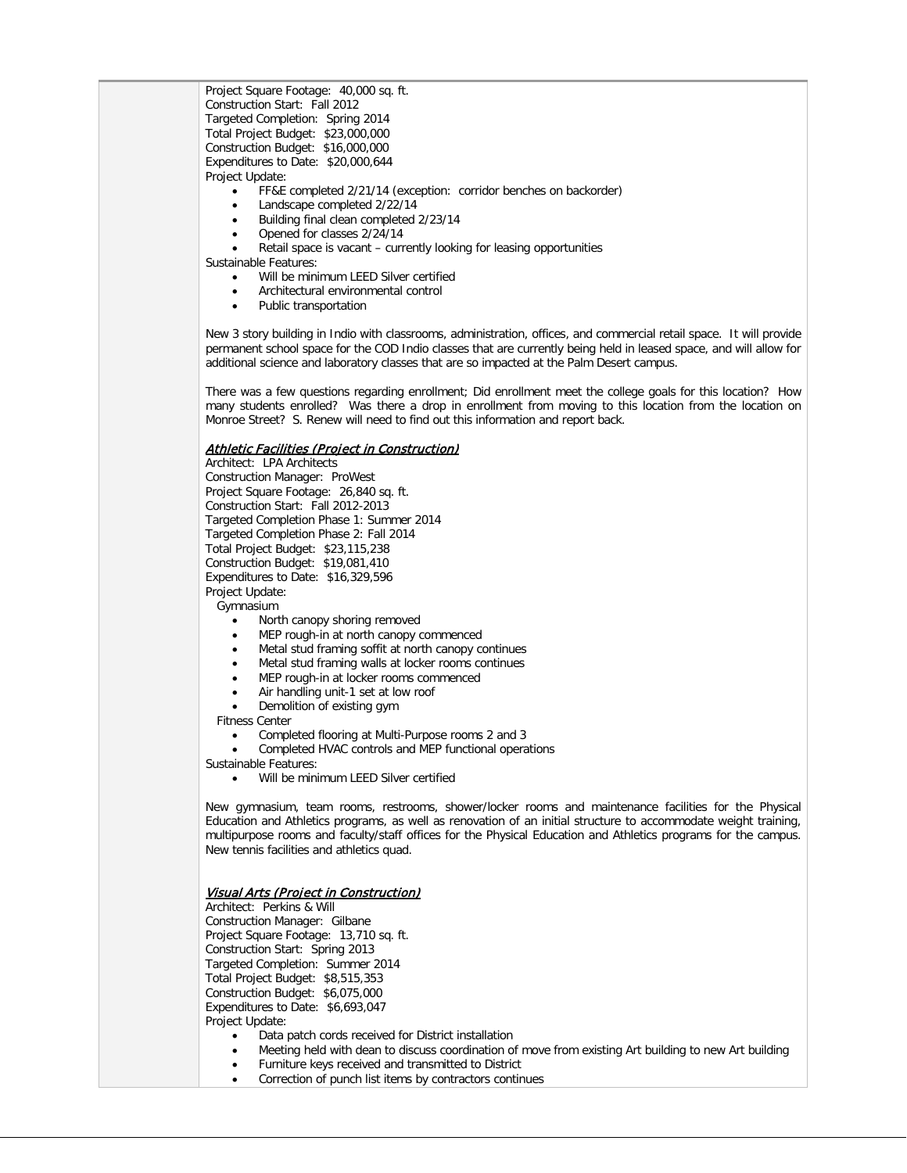Project Square Footage: 40,000 sq. ft. Construction Start: Fall 2012 Targeted Completion: Spring 2014 Total Project Budget: \$23,000,000 Construction Budget: \$16,000,000 Expenditures to Date: \$20,000,644 Project Update:

- FF&E completed 2/21/14 (exception: corridor benches on backorder)
- Landscape completed 2/22/14
- Building final clean completed 2/23/14
- Opened for classes 2/24/14
- Retail space is vacant currently looking for leasing opportunities

Sustainable Features:

- Will be minimum LEED Silver certified
- Architectural environmental control
- Public transportation

New 3 story building in Indio with classrooms, administration, offices, and commercial retail space. It will provide permanent school space for the COD Indio classes that are currently being held in leased space, and will allow for additional science and laboratory classes that are so impacted at the Palm Desert campus.

There was a few questions regarding enrollment; Did enrollment meet the college goals for this location? How many students enrolled? Was there a drop in enrollment from moving to this location from the location on Monroe Street? S. Renew will need to find out this information and report back.

#### Athletic Facilities (Project in Construction)

Architect: LPA Architects Construction Manager: ProWest Project Square Footage: 26,840 sq. ft. Construction Start: Fall 2012-2013 Targeted Completion Phase 1: Summer 2014 Targeted Completion Phase 2: Fall 2014 Total Project Budget: \$23,115,238 Construction Budget: \$19,081,410 Expenditures to Date: \$16,329,596 Project Update:

Gymnasium

- North canopy shoring removed
- MEP rough-in at north canopy commenced
- Metal stud framing soffit at north canopy continues
- Metal stud framing walls at locker rooms continues
- MEP rough-in at locker rooms commenced
- Air handling unit-1 set at low roof
- Demolition of existing gym

Fitness Center

- Completed flooring at Multi-Purpose rooms 2 and 3
- Completed HVAC controls and MEP functional operations

Sustainable Features:

Will be minimum LEED Silver certified

New gymnasium, team rooms, restrooms, shower/locker rooms and maintenance facilities for the Physical Education and Athletics programs, as well as renovation of an initial structure to accommodate weight training, multipurpose rooms and faculty/staff offices for the Physical Education and Athletics programs for the campus. New tennis facilities and athletics quad.

#### Visual Arts (Project in Construction)

Architect: Perkins & Will Construction Manager: Gilbane Project Square Footage: 13,710 sq. ft. Construction Start: Spring 2013 Targeted Completion: Summer 2014 Total Project Budget: \$8,515,353 Construction Budget: \$6,075,000 Expenditures to Date: \$6,693,047 Project Update:

- Data patch cords received for District installation
- Meeting held with dean to discuss coordination of move from existing Art building to new Art building
- Furniture keys received and transmitted to District
- Correction of punch list items by contractors continues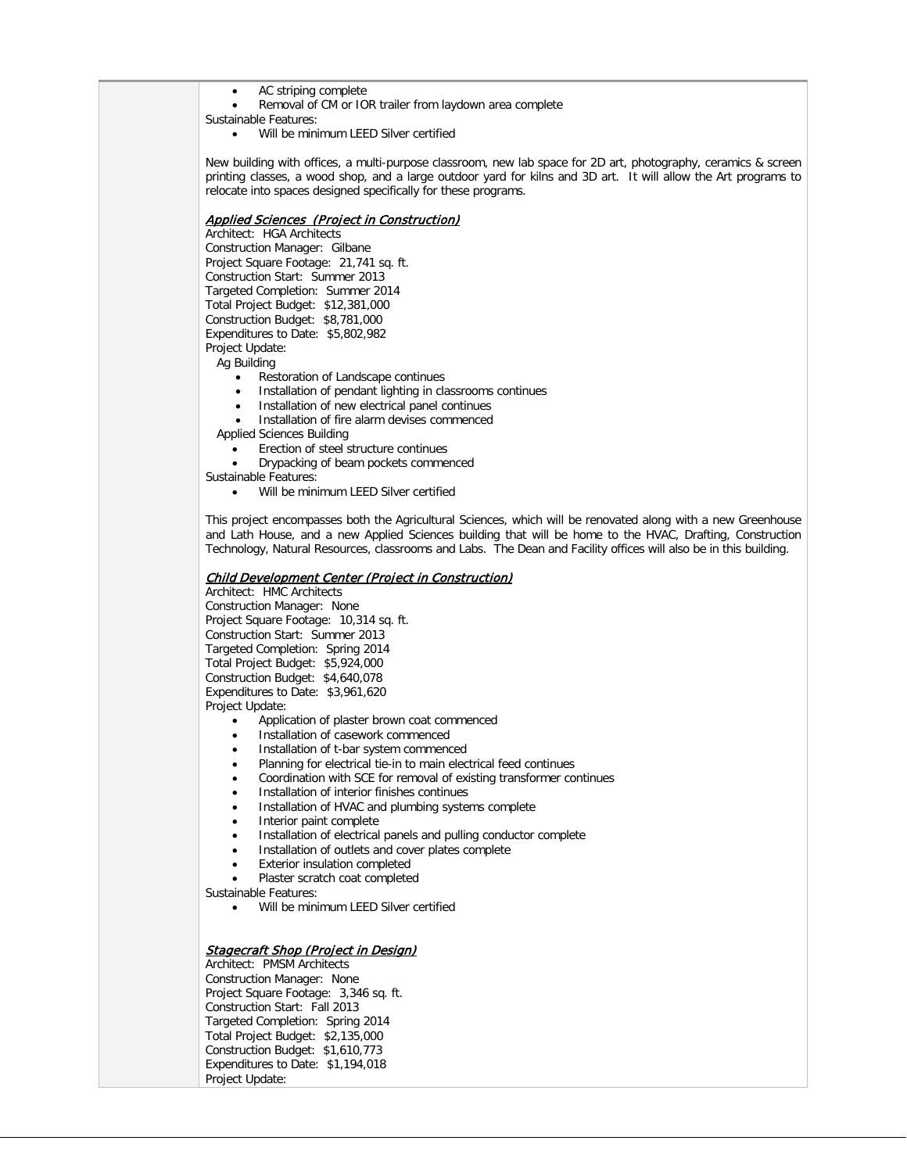- AC striping complete
- Removal of CM or IOR trailer from laydown area complete

Sustainable Features:

Will be minimum LEED Silver certified

New building with offices, a multi-purpose classroom, new lab space for 2D art, photography, ceramics & screen printing classes, a wood shop, and a large outdoor yard for kilns and 3D art. It will allow the Art programs to relocate into spaces designed specifically for these programs.

### Applied Sciences (Project in Construction)

Architect: HGA Architects Construction Manager: Gilbane Project Square Footage: 21,741 sq. ft. Construction Start: Summer 2013 Targeted Completion: Summer 2014 Total Project Budget: \$12,381,000 Construction Budget: \$8,781,000 Expenditures to Date: \$5,802,982 Project Update:

Ag Building

- Restoration of Landscape continues
- Installation of pendant lighting in classrooms continues
- Installation of new electrical panel continues
- Installation of fire alarm devises commenced
- Applied Sciences Building
	- Erection of steel structure continues
	- Drypacking of beam pockets commenced
- Sustainable Features:
	- Will be minimum LEED Silver certified

This project encompasses both the Agricultural Sciences, which will be renovated along with a new Greenhouse and Lath House, and a new Applied Sciences building that will be home to the HVAC, Drafting, Construction Technology, Natural Resources, classrooms and Labs. The Dean and Facility offices will also be in this building.

#### Child Development Center (Project in Construction)

Architect: HMC Architects Construction Manager: None Project Square Footage: 10,314 sq. ft. Construction Start: Summer 2013 Targeted Completion: Spring 2014 Total Project Budget: \$5,924,000 Construction Budget: \$4,640,078 Expenditures to Date: \$3,961,620 Project Update:

- Application of plaster brown coat commenced
- Installation of casework commenced
- Installation of t-bar system commenced
- Planning for electrical tie-in to main electrical feed continues
- Coordination with SCE for removal of existing transformer continues
- Installation of interior finishes continues
- Installation of HVAC and plumbing systems complete
- Interior paint complete
- Installation of electrical panels and pulling conductor complete
- Installation of outlets and cover plates complete
- **Exterior insulation completed**
- Plaster scratch coat completed

Sustainable Features:

• Will be minimum LEED Silver certified

#### **Stagecraft Shop (Project in Design)**

Architect: PMSM Architects Construction Manager: None Project Square Footage: 3,346 sq. ft. Construction Start: Fall 2013 Targeted Completion: Spring 2014 Total Project Budget: \$2,135,000 Construction Budget: \$1,610,773 Expenditures to Date: \$1,194,018 Project Update: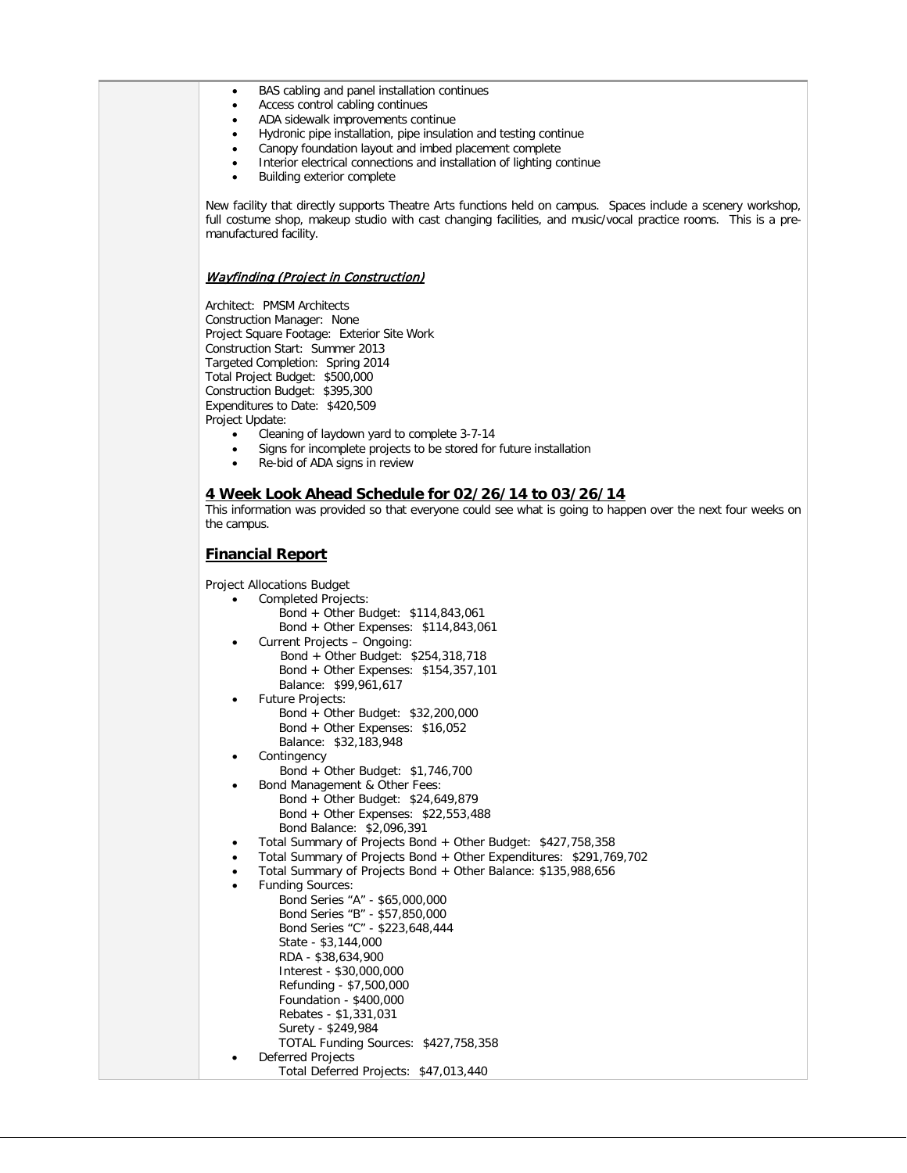- BAS cabling and panel installation continues
- Access control cabling continues
- ADA sidewalk improvements continue
- Hydronic pipe installation, pipe insulation and testing continue
- Canopy foundation layout and imbed placement complete
- Interior electrical connections and installation of lighting continue
- Building exterior complete

New facility that directly supports Theatre Arts functions held on campus. Spaces include a scenery workshop, full costume shop, makeup studio with cast changing facilities, and music/vocal practice rooms. This is a premanufactured facility.

#### Wayfinding (Project in Construction)

Architect: PMSM Architects Construction Manager: None Project Square Footage: Exterior Site Work Construction Start: Summer 2013 Targeted Completion: Spring 2014 Total Project Budget: \$500,000 Construction Budget: \$395,300 Expenditures to Date: \$420,509 Project Update:

- Cleaning of laydown yard to complete 3-7-14
- Signs for incomplete projects to be stored for future installation
- Re-bid of ADA signs in review

#### **4 Week Look Ahead Schedule for 02/26/14 to 03/26/14**

This information was provided so that everyone could see what is going to happen over the next four weeks on the campus.

### **Financial Report**

Project Allocations Budget

- Completed Projects: Bond + Other Budget: \$114,843,061
- Bond + Other Expenses: \$114,843,061 • Current Projects – Ongoing: Bond + Other Budget: \$254,318,718 Bond + Other Expenses: \$154,357,101 Balance: \$99,961,617
- Future Projects: Bond + Other Budget: \$32,200,000 Bond + Other Expenses: \$16,052 Balance: \$32,183,948
- **Contingency** 
	- Bond + Other Budget: \$1,746,700
- Bond Management & Other Fees: Bond + Other Budget: \$24,649,879 Bond + Other Expenses: \$22,553,488 Bond Balance: \$2,096,391
- Total Summary of Projects Bond + Other Budget: \$427,758,358
- Total Summary of Projects Bond + Other Expenditures: \$291,769,702
- Total Summary of Projects Bond + Other Balance: \$135,988,656
- Funding Sources: Bond Series "A" - \$65,000,000 Bond Series "B" - \$57,850,000
	- Bond Series "C" \$223,648,444 State - \$3,144,000 RDA - \$38,634,900 Interest - \$30,000,000 Refunding - \$7,500,000 Foundation - \$400,000 Rebates - \$1,331,031 Surety - \$249,984
	- TOTAL Funding Sources: \$427,758,358 • Deferred Projects
		- Total Deferred Projects: \$47,013,440